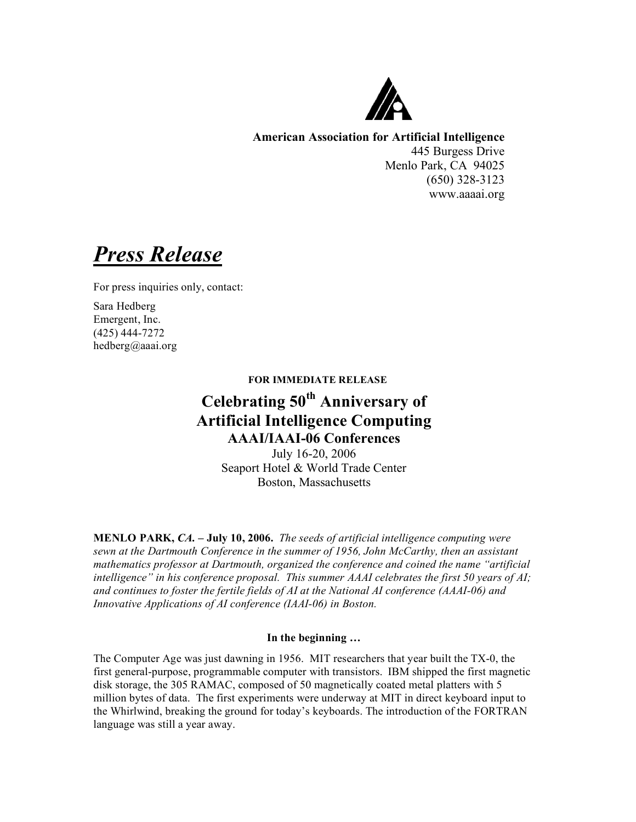

**American Association for Artificial Intelligence** 445 Burgess Drive Menlo Park, CA 94025 (650) 328-3123

www.aaaai.org

*Press Release*

For press inquiries only, contact:

Sara Hedberg Emergent, Inc. (425) 444-7272 hedberg@aaai.org

## **FOR IMMEDIATE RELEASE**

# **Celebrating 50th Anniversary of Artificial Intelligence Computing AAAI/IAAI-06 Conferences**

July 16-20, 2006 Seaport Hotel & World Trade Center Boston, Massachusetts

**MENLO PARK,** *CA.* **– July 10, 2006.** *The seeds of artificial intelligence computing were sewn at the Dartmouth Conference in the summer of 1956, John McCarthy, then an assistant mathematics professor at Dartmouth, organized the conference and coined the name "artificial intelligence" in his conference proposal. This summer AAAI celebrates the first 50 years of AI; and continues to foster the fertile fields of AI at the National AI conference (AAAI-06) and Innovative Applications of AI conference (IAAI-06) in Boston.*

## **In the beginning …**

The Computer Age was just dawning in 1956. MIT researchers that year built the TX-0, the first general-purpose, programmable computer with transistors. IBM shipped the first magnetic disk storage, the 305 RAMAC, composed of 50 magnetically coated metal platters with 5 million bytes of data. The first experiments were underway at MIT in direct keyboard input to the Whirlwind, breaking the ground for today's keyboards. The introduction of the FORTRAN language was still a year away.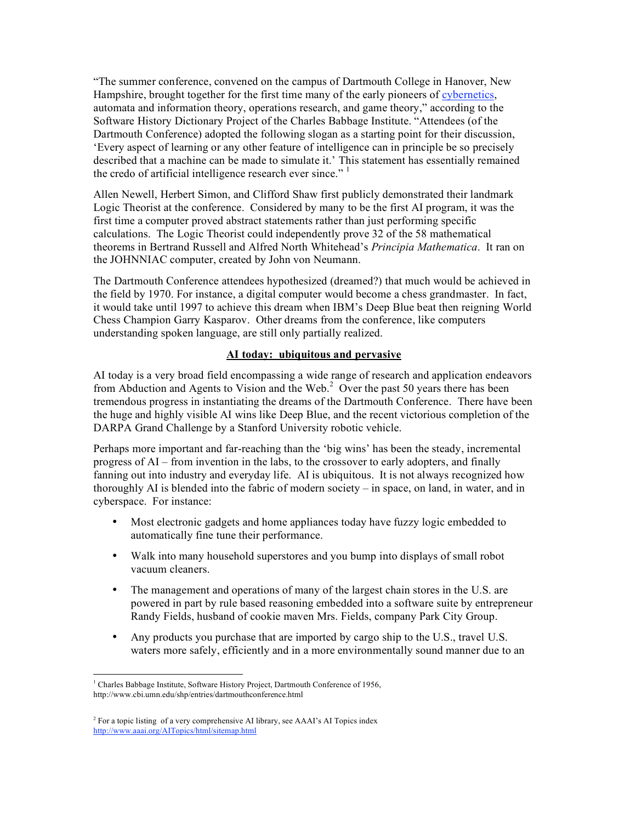"The summer conference, convened on the campus of Dartmouth College in Hanover, New Hampshire, brought together for the first time many of the early pioneers of cybernetics, automata and information theory, operations research, and game theory," according to the Software History Dictionary Project of the Charles Babbage Institute. "Attendees (of the Dartmouth Conference) adopted the following slogan as a starting point for their discussion, 'Every aspect of learning or any other feature of intelligence can in principle be so precisely described that a machine can be made to simulate it.' This statement has essentially remained the credo of artificial intelligence research ever since."

Allen Newell, Herbert Simon, and Clifford Shaw first publicly demonstrated their landmark Logic Theorist at the conference. Considered by many to be the first AI program, it was the first time a computer proved abstract statements rather than just performing specific calculations. The Logic Theorist could independently prove 32 of the 58 mathematical theorems in Bertrand Russell and Alfred North Whitehead's *Principia Mathematica*. It ran on the JOHNNIAC computer, created by John von Neumann.

The Dartmouth Conference attendees hypothesized (dreamed?) that much would be achieved in the field by 1970. For instance, a digital computer would become a chess grandmaster. In fact, it would take until 1997 to achieve this dream when IBM's Deep Blue beat then reigning World Chess Champion Garry Kasparov. Other dreams from the conference, like computers understanding spoken language, are still only partially realized.

## **AI today: ubiquitous and pervasive**

AI today is a very broad field encompassing a wide range of research and application endeavors from Abduction and Agents to Vision and the Web.<sup>2</sup> Over the past 50 years there has been tremendous progress in instantiating the dreams of the Dartmouth Conference. There have been the huge and highly visible AI wins like Deep Blue, and the recent victorious completion of the DARPA Grand Challenge by a Stanford University robotic vehicle.

Perhaps more important and far-reaching than the 'big wins' has been the steady, incremental progress of AI – from invention in the labs, to the crossover to early adopters, and finally fanning out into industry and everyday life. AI is ubiquitous. It is not always recognized how thoroughly AI is blended into the fabric of modern society – in space, on land, in water, and in cyberspace. For instance:

- Most electronic gadgets and home appliances today have fuzzy logic embedded to automatically fine tune their performance.
- Walk into many household superstores and you bump into displays of small robot vacuum cleaners.
- The management and operations of many of the largest chain stores in the U.S. are powered in part by rule based reasoning embedded into a software suite by entrepreneur Randy Fields, husband of cookie maven Mrs. Fields, company Park City Group.
- Any products you purchase that are imported by cargo ship to the U.S., travel U.S. waters more safely, efficiently and in a more environmentally sound manner due to an

<sup>&</sup>lt;sup>1</sup> Charles Babbage Institute, Software History Project, Dartmouth Conference of 1956, http://www.cbi.umn.edu/shp/entries/dartmouthconference.html

 $2^2$  For a topic listing of a very comprehensive AI library, see AAAI's AI Topics index http://www.aaai.org/AITopics/html/sitemap.html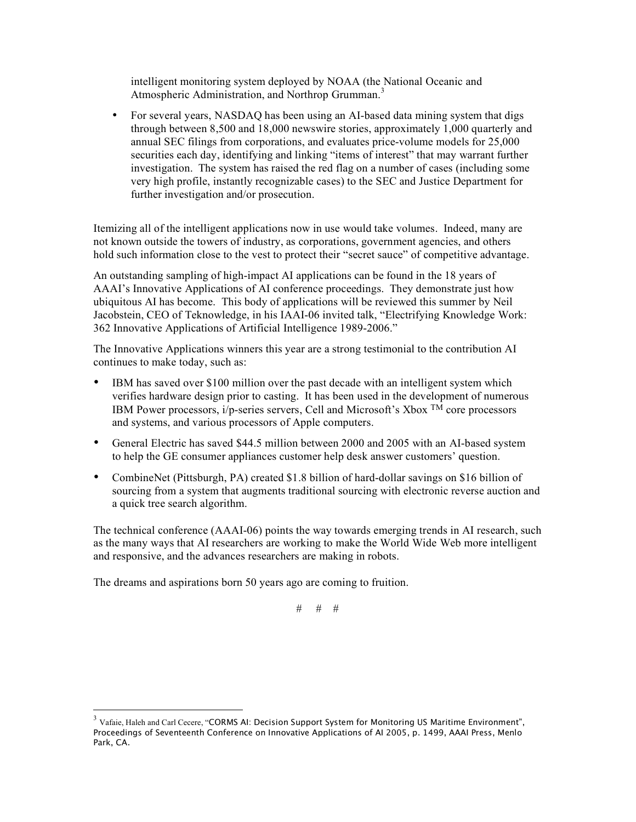intelligent monitoring system deployed by NOAA (the National Oceanic and Atmospheric Administration, and Northrop Grumman. 3

• For several years, NASDAQ has been using an AI-based data mining system that digs through between 8,500 and 18,000 newswire stories, approximately 1,000 quarterly and annual SEC filings from corporations, and evaluates price-volume models for 25,000 securities each day, identifying and linking "items of interest" that may warrant further investigation. The system has raised the red flag on a number of cases (including some very high profile, instantly recognizable cases) to the SEC and Justice Department for further investigation and/or prosecution.

Itemizing all of the intelligent applications now in use would take volumes. Indeed, many are not known outside the towers of industry, as corporations, government agencies, and others hold such information close to the vest to protect their "secret sauce" of competitive advantage.

An outstanding sampling of high-impact AI applications can be found in the 18 years of AAAI's Innovative Applications of AI conference proceedings. They demonstrate just how ubiquitous AI has become. This body of applications will be reviewed this summer by Neil Jacobstein, CEO of Teknowledge, in his IAAI-06 invited talk, "Electrifying Knowledge Work: 362 Innovative Applications of Artificial Intelligence 1989-2006."

The Innovative Applications winners this year are a strong testimonial to the contribution AI continues to make today, such as:

- IBM has saved over \$100 million over the past decade with an intelligent system which verifies hardware design prior to casting. It has been used in the development of numerous IBM Power processors, i/p-series servers, Cell and Microsoft's Xbox TM core processors and systems, and various processors of Apple computers.
- General Electric has saved \$44.5 million between 2000 and 2005 with an AI-based system to help the GE consumer appliances customer help desk answer customers' question.
- CombineNet (Pittsburgh, PA) created \$1.8 billion of hard-dollar savings on \$16 billion of sourcing from a system that augments traditional sourcing with electronic reverse auction and a quick tree search algorithm.

The technical conference (AAAI-06) points the way towards emerging trends in AI research, such as the many ways that AI researchers are working to make the World Wide Web more intelligent and responsive, and the advances researchers are making in robots.

The dreams and aspirations born 50 years ago are coming to fruition.

# # #

 $3$  Vafaie, Haleh and Carl Cecere, "CORMS AI: Decision Support System for Monitoring US Maritime Environment", Proceedings of Seventeenth Conference on Innovative Applications of AI 2005, p. 1499, AAAI Press, Menlo Park, CA.